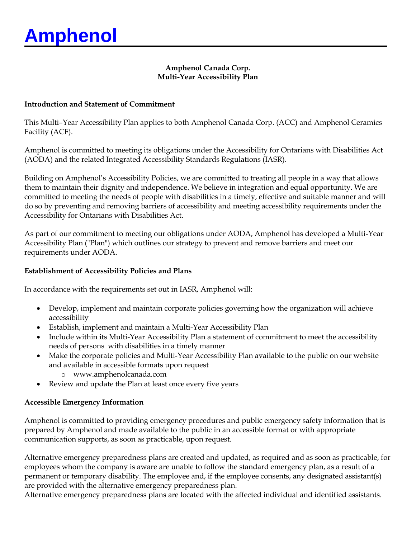### **Amphenol Canada Corp. Multi-Year Accessibility Plan**

#### **Introduction and Statement of Commitment**

This Multi–Year Accessibility Plan applies to both Amphenol Canada Corp. (ACC) and Amphenol Ceramics Facility (ACF).

Amphenol is committed to meeting its obligations under the Accessibility for Ontarians with Disabilities Act (AODA) and the related Integrated Accessibility Standards Regulations (IASR).

Building on Amphenol's Accessibility Policies, we are committed to treating all people in a way that allows them to maintain their dignity and independence. We believe in integration and equal opportunity. We are committed to meeting the needs of people with disabilities in a timely, effective and suitable manner and will do so by preventing and removing barriers of accessibility and meeting accessibility requirements under the Accessibility for Ontarians with Disabilities Act.

As part of our commitment to meeting our obligations under AODA, Amphenol has developed a Multi-Year Accessibility Plan ("Plan") which outlines our strategy to prevent and remove barriers and meet our requirements under AODA.

### **Establishment of Accessibility Policies and Plans**

In accordance with the requirements set out in IASR, Amphenol will:

- Develop, implement and maintain corporate policies governing how the organization will achieve accessibility
- Establish, implement and maintain a Multi-Year Accessibility Plan
- Include within its Multi-Year Accessibility Plan a statement of commitment to meet the accessibility needs of persons with disabilities in a timely manner
- Make the corporate policies and Multi-Year Accessibility Plan available to the public on our website and available in accessible formats upon request
	- o www.amphenolcanada.com
- Review and update the Plan at least once every five years

#### **Accessible Emergency Information**

Amphenol is committed to providing emergency procedures and public emergency safety information that is prepared by Amphenol and made available to the public in an accessible format or with appropriate communication supports, as soon as practicable, upon request.

Alternative emergency preparedness plans are created and updated, as required and as soon as practicable, for employees whom the company is aware are unable to follow the standard emergency plan, as a result of a permanent or temporary disability. The employee and, if the employee consents, any designated assistant(s) are provided with the alternative emergency preparedness plan.

Alternative emergency preparedness plans are located with the affected individual and identified assistants.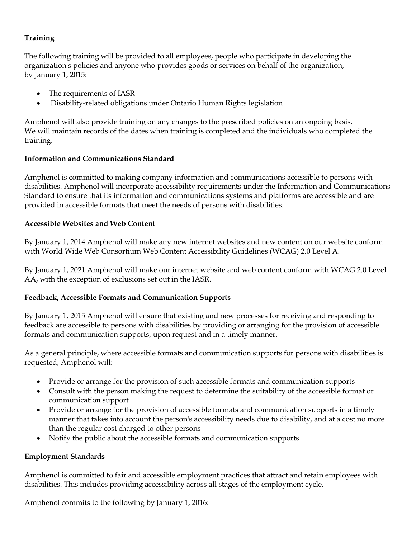# **Training**

The following training will be provided to all employees, people who participate in developing the organization's policies and anyone who provides goods or services on behalf of the organization, by January 1, 2015:

- The requirements of IASR
- Disability-related obligations under Ontario Human Rights legislation

Amphenol will also provide training on any changes to the prescribed policies on an ongoing basis. We will maintain records of the dates when training is completed and the individuals who completed the training.

# **Information and Communications Standard**

Amphenol is committed to making company information and communications accessible to persons with disabilities. Amphenol will incorporate accessibility requirements under the Information and Communications Standard to ensure that its information and communications systems and platforms are accessible and are provided in accessible formats that meet the needs of persons with disabilities.

#### **Accessible Websites and Web Content**

By January 1, 2014 Amphenol will make any new internet websites and new content on our website conform with World Wide Web Consortium Web Content Accessibility Guidelines (WCAG) 2.0 Level A.

By January 1, 2021 Amphenol will make our internet website and web content conform with WCAG 2.0 Level AA, with the exception of exclusions set out in the IASR.

# **Feedback, Accessible Formats and Communication Supports**

By January 1, 2015 Amphenol will ensure that existing and new processes for receiving and responding to feedback are accessible to persons with disabilities by providing or arranging for the provision of accessible formats and communication supports, upon request and in a timely manner.

As a general principle, where accessible formats and communication supports for persons with disabilities is requested, Amphenol will:

- Provide or arrange for the provision of such accessible formats and communication supports
- Consult with the person making the request to determine the suitability of the accessible format or communication support
- Provide or arrange for the provision of accessible formats and communication supports in a timely manner that takes into account the person's accessibility needs due to disability, and at a cost no more than the regular cost charged to other persons
- Notify the public about the accessible formats and communication supports

#### **Employment Standards**

Amphenol is committed to fair and accessible employment practices that attract and retain employees with disabilities. This includes providing accessibility across all stages of the employment cycle.

Amphenol commits to the following by January 1, 2016: